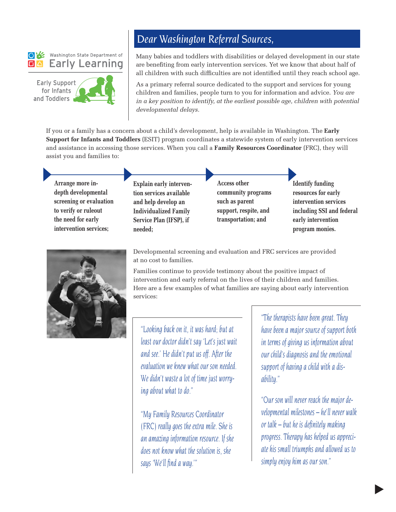### Washington State Department of Early Learning

**Early Support** for Infants and Toddlers



## *Dear Washington Referral Sources,*

Many babies and toddlers with disabilities or delayed development in our state are benefiting from early intervention services. Yet we know that about half of all children with such difficulties are not identified until they reach school age.

As a primary referral source dedicated to the support and services for young children and families, people turn to you for information and advice. *You are in a key position to identify, at the earliest possible age, children with potential developmental delays.*

If you or a family has a concern about a child's development, help is available in Washington. The **Early Support for Infants and Toddlers** (ESIT) program coordinates a statewide system of early intervention services and assistance in accessing those services. When you call a **Family Resources Coordinator** (FRC), they will assist you and families to:

**Arrange more indepth developmental screening or evaluation to verify or ruleout the need for early intervention services;**

**Explain early intervention services available and help develop an Individualized Family Service Plan (IFSP), if needed;**

**Access other community programs such as parent support, respite, and transportation; and**

**Identify funding resources for early intervention services including SSI and federal early intervention program monies.**



Developmental screening and evaluation and FRC services are provided at no cost to families.

Families continue to provide testimony about the positive impact of intervention and early referral on the lives of their children and families. Here are a few examples of what families are saying about early intervention services:

*"Looking back on it, it was hard; but at least our doctor didn't say 'Let's just wait and see.' He didn't put us off. After the evaluation we knew what our son needed. We didn't waste a lot of time just worrying about what to do."*

*"My Family Resources Coordinator (FRC) really goes the extra mile. She is an amazing information resource. If she does not know what the solution is, she says 'We'll find a way.'"*

*"The therapists have been great. They have been a major source of support both in terms of giving us information about our child's diagnosis and the emotional support of having a child with a disability."* 

*"Our son will never reach the major developmental milestones – he'll never walk or talk – but he is definitely making progress. Therapy has helped us appreciate his small triumphs and allowed us to simply enjoy him as our son."*